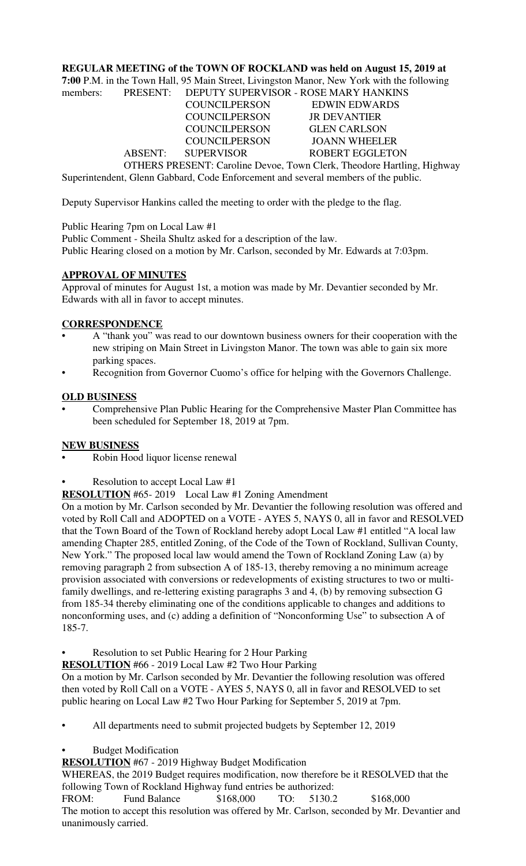## **REGULAR MEETING of the TOWN OF ROCKLAND was held on August 15, 2019 at**

**7:00** P.M. in the Town Hall, 95 Main Street, Livingston Manor, New York with the following

| members: |                      | PRESENT: DEPUTY SUPERVISOR - ROSE MARY HANKINS                                |  |
|----------|----------------------|-------------------------------------------------------------------------------|--|
|          | <b>COUNCILPERSON</b> | EDWIN EDWARDS                                                                 |  |
|          | <b>COUNCILPERSON</b> | <b>JR DEVANTIER</b>                                                           |  |
|          | <b>COUNCILPERSON</b> | <b>GLEN CARLSON</b>                                                           |  |
|          | <b>COUNCILPERSON</b> | <b>JOANN WHEELER</b>                                                          |  |
|          | ABSENT: SUPERVISOR   | <b>ROBERT EGGLETON</b>                                                        |  |
|          |                      | <b>OTHERS PRESENT: Caroline Devoe, Town Clerk, Theodore Hartling, Highway</b> |  |
|          |                      |                                                                               |  |

Superintendent, Glenn Gabbard, Code Enforcement and several members of the public.

Deputy Supervisor Hankins called the meeting to order with the pledge to the flag.

Public Hearing 7pm on Local Law #1

Public Comment - Sheila Shultz asked for a description of the law. Public Hearing closed on a motion by Mr. Carlson, seconded by Mr. Edwards at 7:03pm.

## **APPROVAL OF MINUTES**

Approval of minutes for August 1st, a motion was made by Mr. Devantier seconded by Mr. Edwards with all in favor to accept minutes.

## **CORRESPONDENCE**

- A "thank you" was read to our downtown business owners for their cooperation with the new striping on Main Street in Livingston Manor. The town was able to gain six more parking spaces.
- Recognition from Governor Cuomo's office for helping with the Governors Challenge.

## **OLD BUSINESS**

• Comprehensive Plan Public Hearing for the Comprehensive Master Plan Committee has been scheduled for September 18, 2019 at 7pm.

# **NEW BUSINESS**

- Robin Hood liquor license renewal
- Resolution to accept Local Law #1

**RESOLUTION** #65- 2019 Local Law #1 Zoning Amendment

On a motion by Mr. Carlson seconded by Mr. Devantier the following resolution was offered and voted by Roll Call and ADOPTED on a VOTE - AYES 5, NAYS 0, all in favor and RESOLVED that the Town Board of the Town of Rockland hereby adopt Local Law #1 entitled "A local law amending Chapter 285, entitled Zoning, of the Code of the Town of Rockland, Sullivan County, New York." The proposed local law would amend the Town of Rockland Zoning Law (a) by removing paragraph 2 from subsection A of 185-13, thereby removing a no minimum acreage provision associated with conversions or redevelopments of existing structures to two or multifamily dwellings, and re-lettering existing paragraphs 3 and 4, (b) by removing subsection G from 185-34 thereby eliminating one of the conditions applicable to changes and additions to nonconforming uses, and (c) adding a definition of "Nonconforming Use" to subsection A of 185-7.

• Resolution to set Public Hearing for 2 Hour Parking

**RESOLUTION** #66 - 2019 Local Law #2 Two Hour Parking

On a motion by Mr. Carlson seconded by Mr. Devantier the following resolution was offered then voted by Roll Call on a VOTE - AYES 5, NAYS 0, all in favor and RESOLVED to set public hearing on Local Law #2 Two Hour Parking for September 5, 2019 at 7pm.

• All departments need to submit projected budgets by September 12, 2019

• Budget Modification

# **RESOLUTION** #67 - 2019 Highway Budget Modification

WHEREAS, the 2019 Budget requires modification, now therefore be it RESOLVED that the following Town of Rockland Highway fund entries be authorized:

FROM: Fund Balance \$168,000 TO: 5130.2 \$168,000 The motion to accept this resolution was offered by Mr. Carlson, seconded by Mr. Devantier and unanimously carried.